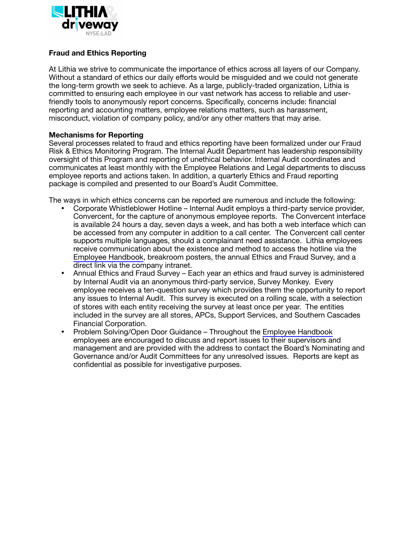

## **Fraud and Ethics Reporting**

At Lithia we strive to communicate the importance of ethics across all layers of our Company. Without a standard of ethics our daily efforts would be misguided and we could not generate the long-term growth we seek to achieve. As a large, publicly-traded organization, Lithia is committed to ensuring each employee in our vast network has access to reliable and user‐ friendly tools to anonymously report concerns. Specifically, concerns include: financial reporting and accounting matters, employee relations matters, such as harassment, misconduct, violation of company policy, and/or any other matters that may arise.

## **Mechanisms for Reporting**

Several processes related to fraud and ethics reporting have been formalized under our Fraud Risk & Ethics Monitoring Program. The Internal Audit Department has leadership responsibility oversight of this Program and reporting of unethical behavior. Internal Audit coordinates and communicates at least monthly with the Employee Relations and Legal departments to discuss employee reports and actions taken. In addition, a quarterly Ethics and Fraud reporting package is compiled and presented to our Board's Audit Committee.

The ways in which ethics concerns can be reported are numerous and include the following:

- Corporate Whistleblower Hotline Internal Audit employs a third-party service provider, Convercent, for the capture of anonymous employee reports. The Convercent interface is available 24 hours a day, seven days a week, and has both a web interface which can be accessed from any computer in addition to a call center. The Convercent call center supports multiple languages, should a complainant need assistance. Lithia employees receive communication about the existence and method to access the hotline via the [Employee Handbook](http://www.lithiamotors.com/employeehandbook/EmployeeHandbook.html), breakroom posters, the annual Ethics and Fraud Survey, and a direct link via the company intranet.
- Annual Ethics and Fraud Survey Each year an ethics and fraud survey is administered by Internal Audit via an anonymous third-party service, Survey Monkey. Every employee receives a ten-question survey which provides them the opportunity to report any issues to Internal Audit. This survey is executed on a rolling scale, with a selection of stores with each entity receiving the survey at least once per year. The entities included in the survey are all stores, APCs, Support Services, and Southern Cascades Financial Corporation.
- Problem Solving/Open Door Guidance Throughout the [Employee Handbook](http://www.lithiamotors.com/employeehandbook/EmployeeHandbook.html) employees are encouraged to discuss and report issues to their supervisors and management and are provided with the address to contact the Board's Nominating and Governance and/or Audit Committees for any unresolved issues. Reports are kept as confidential as possible for investigative purposes.